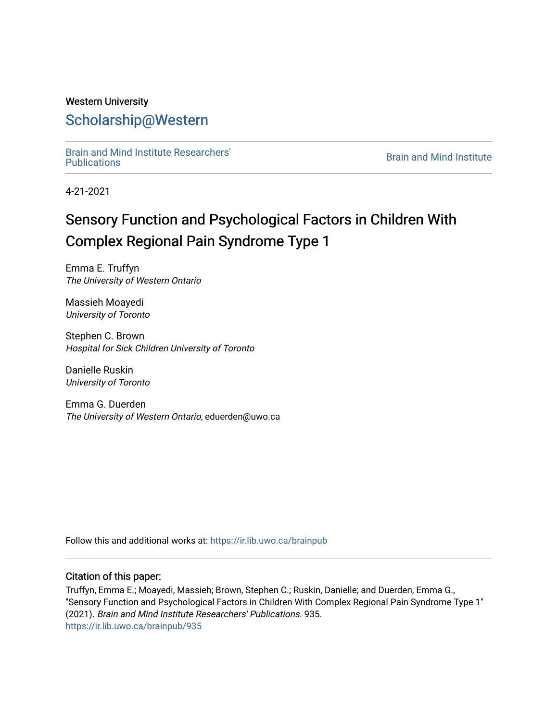## Western University [Scholarship@Western](https://ir.lib.uwo.ca/)

[Brain and Mind Institute Researchers'](https://ir.lib.uwo.ca/brainpub) 

**Brain and Mind Institute** 

4-21-2021

# Sensory Function and Psychological Factors in Children With Complex Regional Pain Syndrome Type 1

Emma E. Truffyn The University of Western Ontario

Massieh Moayedi University of Toronto

Stephen C. Brown Hospital for Sick Children University of Toronto

Danielle Ruskin University of Toronto

Emma G. Duerden The University of Western Ontario, eduerden@uwo.ca

Follow this and additional works at: [https://ir.lib.uwo.ca/brainpub](https://ir.lib.uwo.ca/brainpub?utm_source=ir.lib.uwo.ca%2Fbrainpub%2F935&utm_medium=PDF&utm_campaign=PDFCoverPages)

## Citation of this paper:

Truffyn, Emma E.; Moayedi, Massieh; Brown, Stephen C.; Ruskin, Danielle; and Duerden, Emma G., "Sensory Function and Psychological Factors in Children With Complex Regional Pain Syndrome Type 1" (2021). Brain and Mind Institute Researchers' Publications. 935. [https://ir.lib.uwo.ca/brainpub/935](https://ir.lib.uwo.ca/brainpub/935?utm_source=ir.lib.uwo.ca%2Fbrainpub%2F935&utm_medium=PDF&utm_campaign=PDFCoverPages)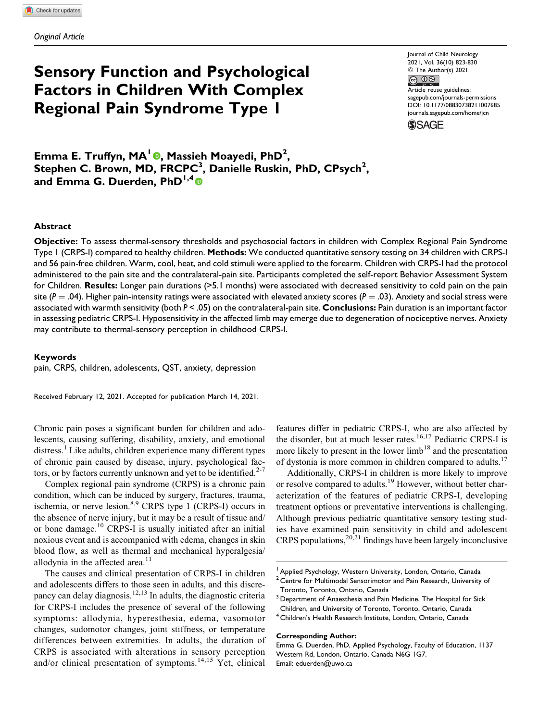## **Sensory Function and Psychological Factors in Children With Complex Regional Pain Syndrome Type 1**

Journal of Child Neurology 2021, Vol. 36(10) 823-830 © The Author(s) 2021 **©** 0 Article reuse guidelines: [sagepub.com/journals-permissions](https://sagepub.com/journals-permissions) [DOI: 10.1177/08830738211007685](https://doi.org/10.1177/08830738211007685)

[journals.sagepub.com/home/jcn](http://journals.sagepub.com/home/jcn)



**Emma E. Truffyn, MA<sup>1</sup> , Massieh Moayedi, PhD<sup>2</sup> , Stephen C. Brown, MD, FRCPC<sup>3</sup> , Danielle Ruskin, PhD, CPsych<sup>2</sup> , and Emma G. Duerden, PhD1,4**

#### **Abstract**

**Objective:** To assess thermal-sensory thresholds and psychosocial factors in children with Complex Regional Pain Syndrome Type 1 (CRPS-I) compared to healthy children. **Methods:** We conducted quantitative sensory testing on 34 children with CRPS-I and 56 pain-free children. Warm, cool, heat, and cold stimuli were applied to the forearm. Children with CRPS-I had the protocol administered to the pain site and the contralateral-pain site. Participants completed the self-report Behavior Assessment System for Children. **Results:** Longer pain durations (>5.1 months) were associated with decreased sensitivity to cold pain on the pain site ( $P = .04$ ). Higher pain-intensity ratings were associated with elevated anxiety scores ( $P = .03$ ). Anxiety and social stress were associated with warmth sensitivity (both *P* < .05) on the contralateral-pain site. **Conclusions:** Pain duration is an important factor in assessing pediatric CRPS-I. Hyposensitivity in the affected limb may emerge due to degeneration of nociceptive nerves. Anxiety may contribute to thermal-sensory perception in childhood CRPS-I.

#### **Keywords**

pain, CRPS, children, adolescents, QST, anxiety, depression

Received February 12, 2021. Accepted for publication March 14, 2021.

Chronic pain poses a significant burden for children and adolescents, causing suffering, disability, anxiety, and emotional distress.<sup>[1](#page-7-0)</sup> Like adults, children experience many different types of chronic pain caused by disease, injury, psychological factors, or by factors currently unknown and yet to be identified. $2-7$ 

Complex regional pain syndrome (CRPS) is a chronic pain condition, which can be induced by surgery, fractures, trauma, ischemia, or nerve lesion. $8,9$  CRPS type 1 (CRPS-I) occurs in the absence of nerve injury, but it may be a result of tissue and/ or bone damage.<sup>[10](#page-7-0)</sup> CRPS-I is usually initiated after an initial noxious event and is accompanied with edema, changes in skin blood flow, as well as thermal and mechanical hyperalgesia/ allodynia in the affected area. $11$ 

The causes and clinical presentation of CRPS-I in children and adolescents differs to those seen in adults, and this discre-pancy can delay diagnosis.<sup>[12,13](#page-7-0)</sup> In adults, the diagnostic criteria for CRPS-I includes the presence of several of the following symptoms: allodynia, hyperesthesia, edema, vasomotor changes, sudomotor changes, joint stiffness, or temperature differences between extremities. In adults, the duration of CRPS is associated with alterations in sensory perception and/or clinical presentation of symptoms.<sup>[14,15](#page-7-0)</sup> Yet, clinical

features differ in pediatric CRPS-I, who are also affected by the disorder, but at much lesser rates.<sup>[16,17](#page-7-0)</sup> Pediatric CRPS-I is more likely to present in the lower  $limb<sup>18</sup>$  $limb<sup>18</sup>$  $limb<sup>18</sup>$  and the presentation of dystonia is more common in children compared to adults.<sup>[17](#page-7-0)</sup>

Additionally, CRPS-I in children is more likely to improve or resolve compared to adults.<sup>[19](#page-7-0)</sup> However, without better characterization of the features of pediatric CRPS-I, developing treatment options or preventative interventions is challenging. Although previous pediatric quantitative sensory testing studies have examined pain sensitivity in child and adolescent CRPS populations,  $20,21$  findings have been largely inconclusive

#### **Corresponding Author:**

<sup>&</sup>lt;sup>1</sup> Applied Psychology, Western University, London, Ontario, Canada

 $2$  Centre for Multimodal Sensorimotor and Pain Research, University of Toronto, Toronto, Ontario, Canada

<sup>&</sup>lt;sup>3</sup> Department of Anaesthesia and Pain Medicine, The Hospital for Sick Children, and University of Toronto, Toronto, Ontario, Canada

<sup>&</sup>lt;sup>4</sup> Children's Health Research Institute, London, Ontario, Canada

Emma G. Duerden, PhD, Applied Psychology, Faculty of Education, 1137 Western Rd, London, Ontario, Canada N6G 1G7. Email: [eduerden@uwo.ca](mailto:eduerden@uwo.ca)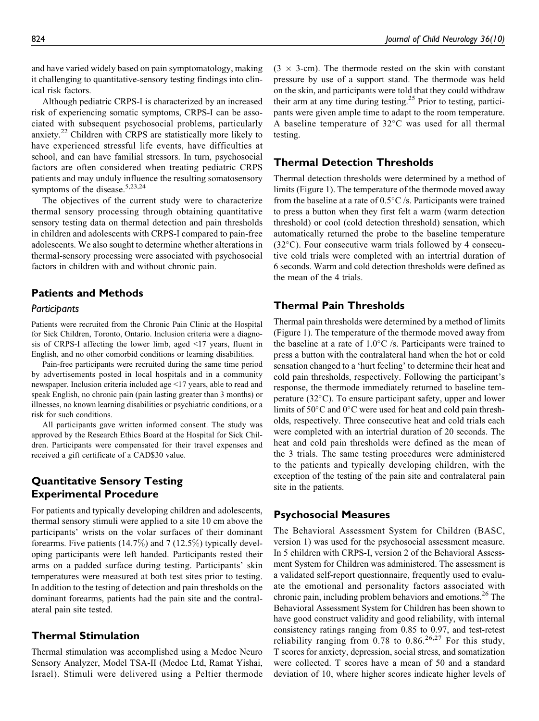and have varied widely based on pain symptomatology, making it challenging to quantitative-sensory testing findings into clinical risk factors.

Although pediatric CRPS-I is characterized by an increased risk of experiencing somatic symptoms, CRPS-I can be associated with subsequent psychosocial problems, particularly anxiety.<sup>[22](#page-7-0)</sup> Children with CRPS are statistically more likely to have experienced stressful life events, have difficulties at school, and can have familial stressors. In turn, psychosocial factors are often considered when treating pediatric CRPS patients and may unduly influence the resulting somatosensory symptoms of the disease.  $5,23,24$ 

The objectives of the current study were to characterize thermal sensory processing through obtaining quantitative sensory testing data on thermal detection and pain thresholds in children and adolescents with CRPS-I compared to pain-free adolescents. We also sought to determine whether alterations in thermal-sensory processing were associated with psychosocial factors in children with and without chronic pain.

## **Patients and Methods**

#### *Participants*

Patients were recruited from the Chronic Pain Clinic at the Hospital for Sick Children, Toronto, Ontario. Inclusion criteria were a diagnosis of CRPS-I affecting the lower limb, aged <17 years, fluent in English, and no other comorbid conditions or learning disabilities.

Pain-free participants were recruited during the same time period by advertisements posted in local hospitals and in a community newspaper. Inclusion criteria included age <17 years, able to read and speak English, no chronic pain (pain lasting greater than 3 months) or illnesses, no known learning disabilities or psychiatric conditions, or a risk for such conditions.

All participants gave written informed consent. The study was approved by the Research Ethics Board at the Hospital for Sick Children. Participants were compensated for their travel expenses and received a gift certificate of a CAD\$30 value.

## **Quantitative Sensory Testing Experimental Procedure**

For patients and typically developing children and adolescents, thermal sensory stimuli were applied to a site 10 cm above the participants' wrists on the volar surfaces of their dominant forearms. Five patients (14.7%) and 7 (12.5%) typically developing participants were left handed. Participants rested their arms on a padded surface during testing. Participants' skin temperatures were measured at both test sites prior to testing. In addition to the testing of detection and pain thresholds on the dominant forearms, patients had the pain site and the contralateral pain site tested.

## **Thermal Stimulation**

Thermal stimulation was accomplished using a Medoc Neuro Sensory Analyzer, Model TSA-II (Medoc Ltd, Ramat Yishai, Israel). Stimuli were delivered using a Peltier thermode

 $(3 \times 3$ -cm). The thermode rested on the skin with constant pressure by use of a support stand. The thermode was held on the skin, and participants were told that they could withdraw their arm at any time during testing[.25](#page-7-0) Prior to testing, participants were given ample time to adapt to the room temperature. A baseline temperature of  $32^{\circ}$ C was used for all thermal testing.

## **Thermal Detection Thresholds**

Thermal detection thresholds were determined by a method of limits [\(Figure 1](#page-3-0)). The temperature of the thermode moved away from the baseline at a rate of  $0.5^{\circ}$ C /s. Participants were trained to press a button when they first felt a warm (warm detection threshold) or cool (cold detection threshold) sensation, which automatically returned the probe to the baseline temperature  $(32^{\circ}C)$ . Four consecutive warm trials followed by 4 consecutive cold trials were completed with an intertrial duration of 6 seconds. Warm and cold detection thresholds were defined as the mean of the 4 trials.

## **Thermal Pain Thresholds**

Thermal pain thresholds were determined by a method of limits [\(Figure 1\)](#page-3-0). The temperature of the thermode moved away from the baseline at a rate of  $1.0^{\circ}$ C /s. Participants were trained to press a button with the contralateral hand when the hot or cold sensation changed to a 'hurt feeling' to determine their heat and cold pain thresholds, respectively. Following the participant's response, the thermode immediately returned to baseline temperature ( $32^{\circ}$ C). To ensure participant safety, upper and lower limits of  $50^{\circ}$ C and  $0^{\circ}$ C were used for heat and cold pain thresholds, respectively. Three consecutive heat and cold trials each were completed with an intertrial duration of 20 seconds. The heat and cold pain thresholds were defined as the mean of the 3 trials. The same testing procedures were administered to the patients and typically developing children, with the exception of the testing of the pain site and contralateral pain site in the patients.

## **Psychosocial Measures**

The Behavioral Assessment System for Children (BASC, version 1) was used for the psychosocial assessment measure. In 5 children with CRPS-I, version 2 of the Behavioral Assessment System for Children was administered. The assessment is a validated self-report questionnaire, frequently used to evaluate the emotional and personality factors associated with chronic pain, including problem behaviors and emotions.[26](#page-7-0) The Behavioral Assessment System for Children has been shown to have good construct validity and good reliability, with internal consistency ratings ranging from 0.85 to 0.97, and test-retest reliability ranging from  $0.78$  to  $0.86$ .<sup>[26,27](#page-7-0)</sup> For this study, T scores for anxiety, depression, social stress, and somatization were collected. T scores have a mean of 50 and a standard deviation of 10, where higher scores indicate higher levels of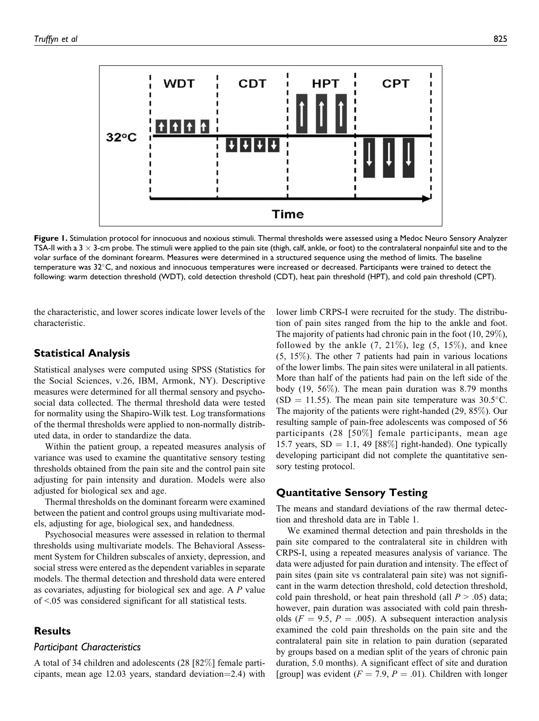<span id="page-3-0"></span>

**Figure 1.** Stimulation protocol for innocuous and noxious stimuli. Thermal thresholds were assessed using a Medoc Neuro Sensory Analyzer TSA-II with a 3  $\times$  3-cm probe. The stimuli were applied to the pain site (thigh, calf, ankle, or foot) to the contralateral nonpainful site and to the volar surface of the dominant forearm. Measures were determined in a structured sequence using the method of limits. The baseline temperature was  $32^{\circ}$ C, and noxious and innocuous temperatures were increased or decreased. Participants were trained to detect the following: warm detection threshold (WDT), cold detection threshold (CDT), heat pain threshold (HPT), and cold pain threshold (CPT).

the characteristic, and lower scores indicate lower levels of the characteristic.

## **Statistical Analysis**

Statistical analyses were computed using SPSS (Statistics for the Social Sciences, v.26, IBM, Armonk, NY). Descriptive measures were determined for all thermal sensory and psychosocial data collected. The thermal threshold data were tested for normality using the Shapiro-Wilk test. Log transformations of the thermal thresholds were applied to non-normally distributed data, in order to standardize the data.

Within the patient group, a repeated measures analysis of variance was used to examine the quantitative sensory testing thresholds obtained from the pain site and the control pain site adjusting for pain intensity and duration. Models were also adjusted for biological sex and age.

Thermal thresholds on the dominant forearm were examined between the patient and control groups using multivariate models, adjusting for age, biological sex, and handedness.

Psychosocial measures were assessed in relation to thermal thresholds using multivariate models. The Behavioral Assessment System for Children subscales of anxiety, depression, and social stress were entered as the dependent variables in separate models. The thermal detection and threshold data were entered as covariates, adjusting for biological sex and age. A P value of <.05 was considered significant for all statistical tests.

## **Results**

### *Participant Characteristics*

A total of 34 children and adolescents (28 [82%] female participants, mean age  $12.03$  years, standard deviation=2.4) with

lower limb CRPS-I were recruited for the study. The distribution of pain sites ranged from the hip to the ankle and foot. The majority of patients had chronic pain in the foot (10, 29%), followed by the ankle  $(7, 21\%)$ , leg  $(5, 15\%)$ , and knee  $(5, 15\%)$ . The other 7 patients had pain in various locations of the lower limbs. The pain sites were unilateral in all patients. More than half of the patients had pain on the left side of the body (19, 56%). The mean pain duration was 8.79 months  $(SD = 11.55)$ . The mean pain site temperature was 30.5°C. The majority of the patients were right-handed (29, 85%). Our resulting sample of pain-free adolescents was composed of 56 participants (28 [50%] female participants, mean age 15.7 years,  $SD = 1.1$ , 49 [88%] right-handed). One typically developing participant did not complete the quantitative sensory testing protocol.

### **Quantitative Sensory Testing**

The means and standard deviations of the raw thermal detection and threshold data are in [Table 1](#page-4-0).

We examined thermal detection and pain thresholds in the pain site compared to the contralateral site in children with CRPS-I, using a repeated measures analysis of variance. The data were adjusted for pain duration and intensity. The effect of pain sites (pain site vs contralateral pain site) was not significant in the warm detection threshold, cold detection threshold, cold pain threshold, or heat pain threshold (all  $P > .05$ ) data; however, pain duration was associated with cold pain thresholds ( $F = 9.5$ ,  $P = .005$ ). A subsequent interaction analysis examined the cold pain thresholds on the pain site and the contralateral pain site in relation to pain duration (separated by groups based on a median split of the years of chronic pain duration, 5.0 months). A significant effect of site and duration [group] was evident ( $F = 7.9$ ,  $P = .01$ ). Children with longer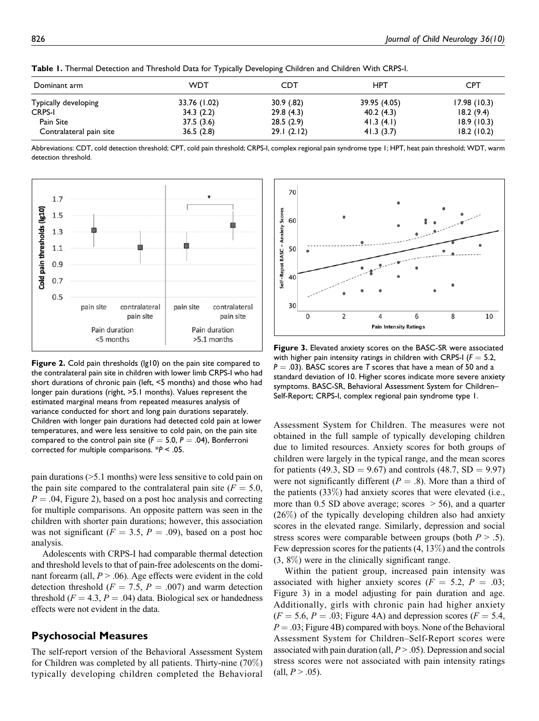| Dominant arm            | <b>WDT</b>   | CDT        | HPT          | <b>CPT</b>  |
|-------------------------|--------------|------------|--------------|-------------|
| Typically developing    | 33.76 (1.02) | 30.9(.82)  | 39.95 (4.05) | 17.98(10.3) |
| <b>CRPS-I</b>           | 34.3(2.2)    | 29.8(4.3)  | 40.2(4.3)    | 18.2(9.4)   |
| Pain Site               | 37.5(3.6)    | 28.5(2.9)  | 41.3(4.1)    | 18.9(10.3)  |
| Contralateral pain site | 36.5(2.8)    | 29.1(2.12) | 41.3(3.7)    | 18.2(10.2)  |

<span id="page-4-0"></span>**Table 1.** Thermal Detection and Threshold Data for Typically Developing Children and Children With CRPS-I.

Abbreviations: CDT, cold detection threshold; CPT, cold pain threshold; CRPS-I, complex regional pain syndrome type 1; HPT, heat pain threshold; WDT, warm detection threshold.



**Figure 2.** Cold pain thresholds (lg10) on the pain site compared to the contralateral pain site in children with lower limb CRPS-I who had short durations of chronic pain (left, <5 months) and those who had longer pain durations (right, >5.1 months). Values represent the estimated marginal means from repeated measures analysis of variance conducted for short and long pain durations separately. Children with longer pain durations had detected cold pain at lower temperatures, and were less sensitive to cold pain, on the pain site compared to the control pain site ( $F = 5.0$ ,  $P = .04$ ), Bonferroni corrected for multiple comparisons. \**P* < .05.

pain durations (>5.1 months) were less sensitive to cold pain on the pain site compared to the contralateral pain site ( $F = 5.0$ ,  $P = .04$ , Figure 2), based on a post hoc analysis and correcting for multiple comparisons. An opposite pattern was seen in the children with shorter pain durations; however, this association was not significant ( $F = 3.5$ ,  $P = .09$ ), based on a post hoc analysis.

Adolescents with CRPS-I had comparable thermal detection and threshold levels to that of pain-free adolescents on the dominant forearm (all,  $P > .06$ ). Age effects were evident in the cold detection threshold ( $F = 7.5$ ,  $P = .007$ ) and warm detection threshold  $(F = 4.3, P = .04)$  data. Biological sex or handedness effects were not evident in the data.

#### **Psychosocial Measures**

The self-report version of the Behavioral Assessment System for Children was completed by all patients. Thirty-nine (70%) typically developing children completed the Behavioral



**Figure 3.** Elevated anxiety scores on the BASC-SR were associated with higher pain intensity ratings in children with CRPS-I ( $F = 5.2$ ,  $P = .03$ ). BASC scores are *T* scores that have a mean of 50 and a standard deviation of 10. Higher scores indicate more severe anxiety symptoms. BASC-SR, Behavioral Assessment System for Children– Self-Report; CRPS-I, complex regional pain syndrome type 1.

Assessment System for Children. The measures were not obtained in the full sample of typically developing children due to limited resources. Anxiety scores for both groups of children were largely in the typical range, and the mean scores for patients (49.3,  $SD = 9.67$ ) and controls (48.7,  $SD = 9.97$ ) were not significantly different ( $P = .8$ ). More than a third of the patients (33%) had anxiety scores that were elevated (i.e., more than 0.5 SD above average; scores  $>$  56), and a quarter (26%) of the typically developing children also had anxiety scores in the elevated range. Similarly, depression and social stress scores were comparable between groups (both  $P > .5$ ). Few depression scores for the patients (4, 13%) and the controls (3, 8%) were in the clinically significant range.

Within the patient group, increased pain intensity was associated with higher anxiety scores ( $F = 5.2$ ,  $P = .03$ ; Figure 3) in a model adjusting for pain duration and age. Additionally, girls with chronic pain had higher anxiety  $(F = 5.6, P = .03;$  [Figure 4A](#page-5-0)) and depression scores  $(F = 5.4,$  $P = .03$ ; [Figure 4B](#page-5-0)) compared with boys. None of the Behavioral Assessment System for Children–Self-Report scores were associated with pain duration (all,  $P > .05$ ). Depression and social stress scores were not associated with pain intensity ratings  $(all, P > .05).$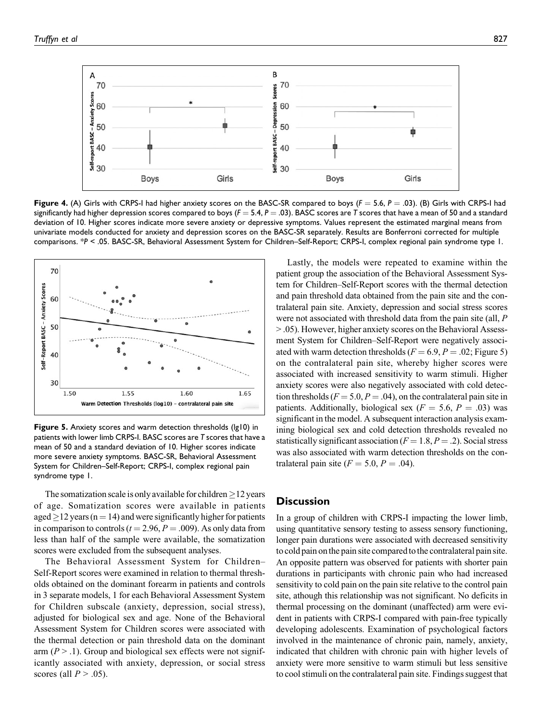<span id="page-5-0"></span>

**Figure 4.** (A) Girls with CRPS-I had higher anxiety scores on the BASC-SR compared to boys ( $F = 5.6$ ,  $P = .03$ ). (B) Girls with CRPS-I had significantly had higher depression scores compared to boys  $(F = 5.4, P = .03)$ . BASC scores are *T* scores that have a mean of 50 and a standard deviation of 10. Higher scores indicate more severe anxiety or depressive symptoms. Values represent the estimated marginal means from univariate models conducted for anxiety and depression scores on the BASC-SR separately. Results are Bonferroni corrected for multiple comparisons. \*P < .05. BASC-SR, Behavioral Assessment System for Children–Self-Report; CRPS-I, complex regional pain syndrome type 1.



**Figure 5.** Anxiety scores and warm detection thresholds (lg10) in patients with lower limb CRPS-I. BASC scores are *T* scores that have a mean of 50 and a standard deviation of 10. Higher scores indicate more severe anxiety symptoms. BASC-SR, Behavioral Assessment System for Children–Self-Report; CRPS-I, complex regional pain syndrome type 1.

The somatization scale is only available for children  $\geq$  12 years of age. Somatization scores were available in patients aged  $\geq$  12 years (n = 14) and were significantly higher for patients in comparison to controls ( $t = 2.96$ ,  $P = .009$ ). As only data from less than half of the sample were available, the somatization scores were excluded from the subsequent analyses.

The Behavioral Assessment System for Children– Self-Report scores were examined in relation to thermal thresholds obtained on the dominant forearm in patients and controls in 3 separate models, 1 for each Behavioral Assessment System for Children subscale (anxiety, depression, social stress), adjusted for biological sex and age. None of the Behavioral Assessment System for Children scores were associated with the thermal detection or pain threshold data on the dominant arm ( $P > 0.1$ ). Group and biological sex effects were not significantly associated with anxiety, depression, or social stress scores (all  $P > .05$ ).

Lastly, the models were repeated to examine within the patient group the association of the Behavioral Assessment System for Children–Self-Report scores with the thermal detection and pain threshold data obtained from the pain site and the contralateral pain site. Anxiety, depression and social stress scores were not associated with threshold data from the pain site (all, P > .05). However, higher anxiety scores on the Behavioral Assessment System for Children–Self-Report were negatively associated with warm detection thresholds ( $F = 6.9, P = .02$ ; Figure 5) on the contralateral pain site, whereby higher scores were associated with increased sensitivity to warm stimuli. Higher anxiety scores were also negatively associated with cold detection thresholds ( $F = 5.0, P = .04$ ), on the contralateral pain site in patients. Additionally, biological sex ( $F = 5.6$ ,  $P = .03$ ) was significant in the model. A subsequent interaction analysis examining biological sex and cold detection thresholds revealed no statistically significant association ( $F = 1.8, P = .2$ ). Social stress was also associated with warm detection thresholds on the contralateral pain site  $(F = 5.0, P = .04)$ .

## **Discussion**

In a group of children with CRPS-I impacting the lower limb, using quantitative sensory testing to assess sensory functioning, longer pain durations were associated with decreased sensitivity to cold pain on the pain site compared to the contralateral pain site. An opposite pattern was observed for patients with shorter pain durations in participants with chronic pain who had increased sensitivity to cold pain on the pain site relative to the control pain site, athough this relationship was not significant. No deficits in thermal processing on the dominant (unaffected) arm were evident in patients with CRPS-I compared with pain-free typically developing adolescents. Examination of psychological factors involved in the maintenance of chronic pain, namely, anxiety, indicated that children with chronic pain with higher levels of anxiety were more sensitive to warm stimuli but less sensitive to cool stimuli on the contralateral pain site. Findings suggest that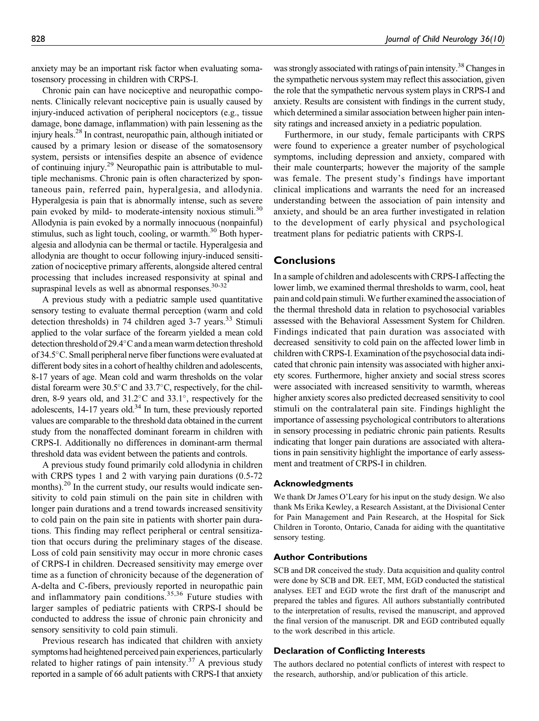anxiety may be an important risk factor when evaluating somatosensory processing in children with CRPS-I.

Chronic pain can have nociceptive and neuropathic components. Clinically relevant nociceptive pain is usually caused by injury-induced activation of peripheral nociceptors (e.g., tissue damage, bone damage, inflammation) with pain lessening as the injury heals[.28](#page-7-0) In contrast, neuropathic pain, although initiated or caused by a primary lesion or disease of the somatosensory system, persists or intensifies despite an absence of evidence of continuing injury[.29](#page-7-0) Neuropathic pain is attributable to multiple mechanisms. Chronic pain is often characterized by spontaneous pain, referred pain, hyperalgesia, and allodynia. Hyperalgesia is pain that is abnormally intense, such as severe pain evoked by mild- to moderate-intensity noxious stimuli.<sup>[30](#page-7-0)</sup> Allodynia is pain evoked by a normally innocuous (nonpainful) stimulus, such as light touch, cooling, or warmth. $30$  Both hyperalgesia and allodynia can be thermal or tactile. Hyperalgesia and allodynia are thought to occur following injury-induced sensitization of nociceptive primary afferents, alongside altered central processing that includes increased responsivity at spinal and supraspinal levels as well as abnormal responses.<sup>30-32</sup>

A previous study with a pediatric sample used quantitative sensory testing to evaluate thermal perception (warm and cold detection thresholds) in 74 children aged  $3-7$  years.<sup>33</sup> Stimuli applied to the volar surface of the forearm yielded a mean cold detection threshold of  $29.4^{\circ}$ C and a mean warm detection threshold of 34.5°C. Small peripheral nerve fiber functions were evaluated at different body sites in a cohort of healthy children and adolescents, 8-17 years of age. Mean cold and warm thresholds on the volar distal forearm were  $30.5^{\circ}$ C and  $33.7^{\circ}$ C, respectively, for the children, 8-9 years old, and  $31.2^{\circ}$ C and  $33.1^{\circ}$ , respectively for the adolescents,  $14-17$  years old.<sup>34</sup> In turn, these previously reported values are comparable to the threshold data obtained in the current study from the nonaffected dominant forearm in children with CRPS-I. Additionally no differences in dominant-arm thermal threshold data was evident between the patients and controls.

A previous study found primarily cold allodynia in children with CRPS types 1 and 2 with varying pain durations (0.5-72) months).<sup>[20](#page-7-0)</sup> In the current study, our results would indicate sensitivity to cold pain stimuli on the pain site in children with longer pain durations and a trend towards increased sensitivity to cold pain on the pain site in patients with shorter pain durations. This finding may reflect peripheral or central sensitization that occurs during the preliminary stages of the disease. Loss of cold pain sensitivity may occur in more chronic cases of CRPS-I in children. Decreased sensitivity may emerge over time as a function of chronicity because of the degeneration of A-delta and C-fibers, previously reported in neuropathic pain and inflammatory pain conditions.<sup>[35](#page-8-0),[36](#page-8-0)</sup> Future studies with larger samples of pediatric patients with CRPS-I should be conducted to address the issue of chronic pain chronicity and sensory sensitivity to cold pain stimuli.

Previous research has indicated that children with anxiety symptoms had heightened perceived pain experiences, particularly related to higher ratings of pain intensity.<sup>37</sup> A previous study reported in a sample of 66 adult patients with CRPS-I that anxiety

was strongly associated with ratings of pain intensity.<sup>38</sup> Changes in the sympathetic nervous system may reflect this association, given the role that the sympathetic nervous system plays in CRPS-I and anxiety. Results are consistent with findings in the current study, which determined a similar association between higher pain intensity ratings and increased anxiety in a pediatric population.

Furthermore, in our study, female participants with CRPS were found to experience a greater number of psychological symptoms, including depression and anxiety, compared with their male counterparts; however the majority of the sample was female. The present study's findings have important clinical implications and warrants the need for an increased understanding between the association of pain intensity and anxiety, and should be an area further investigated in relation to the development of early physical and psychological treatment plans for pediatric patients with CRPS-I.

### **Conclusions**

In a sample of children and adolescents with CRPS-I affecting the lower limb, we examined thermal thresholds to warm, cool, heat pain and cold pain stimuli. We further examined the association of the thermal threshold data in relation to psychosocial variables assessed with the Behavioral Assessment System for Children. Findings indicated that pain duration was associated with decreased sensitivity to cold pain on the affected lower limb in children with CRPS-I. Examination of the psychosocial data indicated that chronic pain intensity was associated with higher anxiety scores. Furthermore, higher anxiety and social stress scores were associated with increased sensitivity to warmth, whereas higher anxiety scores also predicted decreased sensitivity to cool stimuli on the contralateral pain site. Findings highlight the importance of assessing psychological contributors to alterations in sensory processing in pediatric chronic pain patients. Results indicating that longer pain durations are associated with alterations in pain sensitivity highlight the importance of early assessment and treatment of CRPS-I in children.

#### **Acknowledgments**

We thank Dr James O'Leary for his input on the study design. We also thank Ms Erika Kewley, a Research Assistant, at the Divisional Center for Pain Management and Pain Research, at the Hospital for Sick Children in Toronto, Ontario, Canada for aiding with the quantitative sensory testing.

#### **Author Contributions**

SCB and DR conceived the study. Data acquisition and quality control were done by SCB and DR. EET, MM, EGD conducted the statistical analyses. EET and EGD wrote the first draft of the manuscript and prepared the tables and figures. All authors substantially contributed to the interpretation of results, revised the manuscript, and approved the final version of the manuscript. DR and EGD contributed equally to the work described in this article.

#### **Declaration of Conflicting Interests**

The authors declared no potential conflicts of interest with respect to the research, authorship, and/or publication of this article.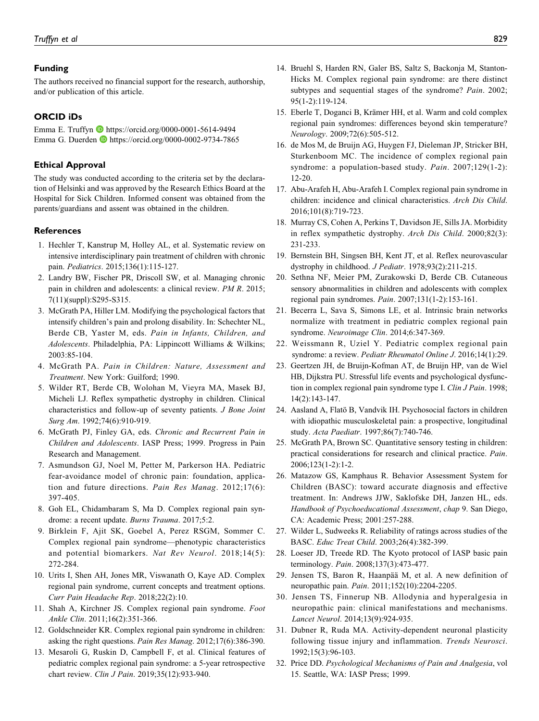#### <span id="page-7-0"></span>**Funding**

The authors received no financial support for the research, authorship, and/or publication of this article.

#### **ORCID iDs**

Emma E. Truffyn **D** <https://orcid.org/0000-0001-5614-9494> Emma G. Duerden <https://orcid.org/0000-0002-9734-7865>

#### **Ethical Approval**

The study was conducted according to the criteria set by the declaration of Helsinki and was approved by the Research Ethics Board at the Hospital for Sick Children. Informed consent was obtained from the parents/guardians and assent was obtained in the children.

#### **References**

- 1. Hechler T, Kanstrup M, Holley AL, et al. Systematic review on intensive interdisciplinary pain treatment of children with chronic pain. Pediatrics. 2015;136(1):115-127.
- 2. Landry BW, Fischer PR, Driscoll SW, et al. Managing chronic pain in children and adolescents: a clinical review. PM R. 2015; 7(11)(suppl):S295-S315.
- 3. McGrath PA, Hiller LM. Modifying the psychological factors that intensify children's pain and prolong disability. In: Schechter NL, Berde CB, Yaster M, eds. Pain in Infants, Children, and Adolescents. Philadelphia, PA: Lippincott Williams & Wilkins; 2003:85-104.
- 4. McGrath PA. Pain in Children: Nature, Assessment and Treatment. New York: Guilford; 1990.
- 5. Wilder RT, Berde CB, Wolohan M, Vieyra MA, Masek BJ, Micheli LJ. Reflex sympathetic dystrophy in children. Clinical characteristics and follow-up of seventy patients. J Bone Joint Surg Am. 1992;74(6):910-919.
- 6. McGrath PJ, Finley GA, eds. Chronic and Recurrent Pain in Children and Adolescents. IASP Press; 1999. Progress in Pain Research and Management.
- 7. Asmundson GJ, Noel M, Petter M, Parkerson HA. Pediatric fear-avoidance model of chronic pain: foundation, application and future directions. Pain Res Manag. 2012;17(6): 397-405.
- 8. Goh EL, Chidambaram S, Ma D. Complex regional pain syndrome: a recent update. Burns Trauma. 2017;5:2.
- 9. Birklein F, Ajit SK, Goebel A, Perez RSGM, Sommer C. Complex regional pain syndrome—phenotypic characteristics and potential biomarkers. Nat Rev Neurol. 2018;14(5): 272-284.
- 10. Urits I, Shen AH, Jones MR, Viswanath O, Kaye AD. Complex regional pain syndrome, current concepts and treatment options. Curr Pain Headache Rep. 2018;22(2):10.
- 11. Shah A, Kirchner JS. Complex regional pain syndrome. Foot Ankle Clin. 2011;16(2):351-366.
- 12. Goldschneider KR. Complex regional pain syndrome in children: asking the right questions. Pain Res Manag. 2012;17(6):386-390.
- 13. Mesaroli G, Ruskin D, Campbell F, et al. Clinical features of pediatric complex regional pain syndrome: a 5-year retrospective chart review. Clin J Pain. 2019;35(12):933-940.
- 14. Bruehl S, Harden RN, Galer BS, Saltz S, Backonja M, Stanton-Hicks M. Complex regional pain syndrome: are there distinct subtypes and sequential stages of the syndrome? Pain. 2002; 95(1-2):119-124.
- 15. Eberle T, Doganci B, Krämer HH, et al. Warm and cold complex regional pain syndromes: differences beyond skin temperature? Neurology. 2009;72(6):505-512.
- 16. de Mos M, de Bruijn AG, Huygen FJ, Dieleman JP, Stricker BH, Sturkenboom MC. The incidence of complex regional pain syndrome: a population-based study. Pain. 2007;129(1-2): 12-20.
- 17. Abu-Arafeh H, Abu-Arafeh I. Complex regional pain syndrome in children: incidence and clinical characteristics. Arch Dis Child. 2016;101(8):719-723.
- 18. Murray CS, Cohen A, Perkins T, Davidson JE, Sills JA. Morbidity in reflex sympathetic dystrophy. Arch Dis Child. 2000;82(3): 231-233.
- 19. Bernstein BH, Singsen BH, Kent JT, et al. Reflex neurovascular dystrophy in childhood. J Pediatr. 1978;93(2):211-215.
- 20. Sethna NF, Meier PM, Zurakowski D, Berde CB. Cutaneous sensory abnormalities in children and adolescents with complex regional pain syndromes. Pain. 2007;131(1-2):153-161.
- 21. Becerra L, Sava S, Simons LE, et al. Intrinsic brain networks normalize with treatment in pediatric complex regional pain syndrome. Neuroimage Clin. 2014;6:347-369.
- 22. Weissmann R, Uziel Y. Pediatric complex regional pain syndrome: a review. Pediatr Rheumatol Online J. 2016;14(1):29.
- 23. Geertzen JH, de Bruijn-Kofman AT, de Bruijn HP, van de Wiel HB, Dijkstra PU. Stressful life events and psychological dysfunction in complex regional pain syndrome type I. Clin J Pain. 1998; 14(2):143-147.
- 24. Aasland A, Flatö B, Vandvik IH. Psychosocial factors in children with idiopathic musculoskeletal pain: a prospective, longitudinal study. Acta Paediatr. 1997;86(7):740-746.
- 25. McGrath PA, Brown SC. Quantitative sensory testing in children: practical considerations for research and clinical practice. Pain. 2006;123(1-2):1-2.
- 26. Matazow GS, Kamphaus R. Behavior Assessment System for Children (BASC): toward accurate diagnosis and effective treatment. In: Andrews JJW, Saklofske DH, Janzen HL, eds. Handbook of Psychoeducational Assessment, chap 9. San Diego, CA: Academic Press; 2001:257-288.
- 27. Wilder L, Sudweeks R. Reliability of ratings across studies of the BASC. Educ Treat Child. 2003;26(4):382-399.
- 28. Loeser JD, Treede RD. The Kyoto protocol of IASP basic pain terminology. Pain. 2008;137(3):473-477.
- 29. Jensen TS, Baron R, Haanpää M, et al. A new definition of neuropathic pain. Pain. 2011;152(10):2204-2205.
- 30. Jensen TS, Finnerup NB. Allodynia and hyperalgesia in neuropathic pain: clinical manifestations and mechanisms. Lancet Neurol. 2014;13(9):924-935.
- 31. Dubner R, Ruda MA. Activity-dependent neuronal plasticity following tissue injury and inflammation. Trends Neurosci. 1992;15(3):96-103.
- 32. Price DD. Psychological Mechanisms of Pain and Analgesia, vol 15. Seattle, WA: IASP Press; 1999.